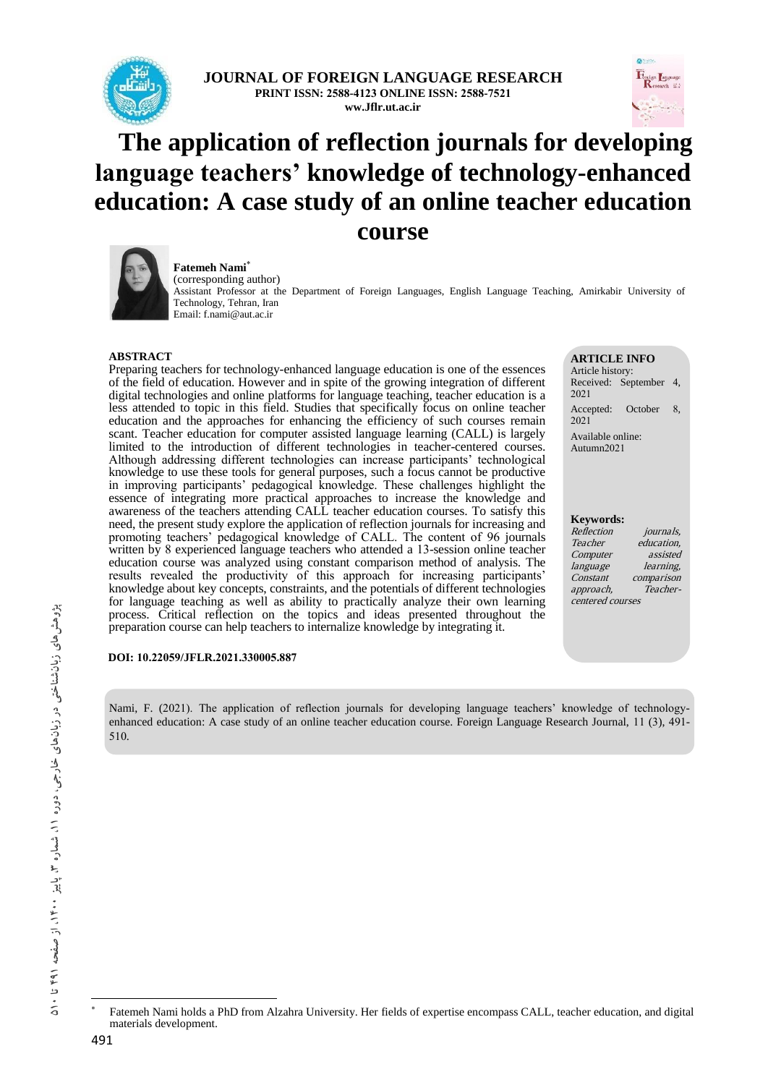

**JOURNAL OF FOREIGN LANGUAGE RESEARCH PRINT ISSN: 2588-4123 ONLINE ISSN: 2588-7521 ww.Jflr.ut.ac.ir**



# **The application of reflection journals for developing language teachers' knowledge of technology-enhanced education: A case study of an online teacher education course**



**Fatemeh Nami** (corresponding author) Assistant Professor at the Department of Foreign Languages, English Language Teaching, Amirkabir University of Technology, Tehran, Iran

**ARTICLE INFO**

Article history: Received: September 4, 2021 Accepted: October 8, 2021 Available online: Autumn2021

#### **Keywords:**

Reflection *journals*,<br>Teacher education. education. Computer assisted language learning, Constant comparison<br>approach, Teacherapproach, centered courses

#### **ABSTRACT**

Preparing teachers for technology-enhanced language education is one of the essences of the field of education. However and in spite of the growing integration of different digital technologies and online platforms for language teaching, teacher education is a less attended to topic in this field. Studies that specifically focus on online teacher education and the approaches for enhancing the efficiency of such courses remain scant. Teacher education for computer assisted language learning (CALL) is largely limited to the introduction of different technologies in teacher-centered courses. Although addressing different technologies can increase participants' technological knowledge to use these tools for general purposes, such a focus cannot be productive in improving participants' pedagogical knowledge. These challenges highlight the essence of integrating more practical approaches to increase the knowledge and awareness of the teachers attending CALL teacher education courses. To satisfy this need, the present study explore the application of reflection journals for increasing and promoting teachers' pedagogical knowledge of CALL. The content of 96 journals written by 8 experienced language teachers who attended a 13-session online teacher education course was analyzed using constant comparison method of analysis. The results revealed the productivity of this approach for increasing participants' knowledge about key concepts, constraints, and the potentials of different technologies for language teaching as well as ability to practically analyze their own learning process. Critical reflection on the topics and ideas presented throughout the preparation course can help teachers to internalize knowledge by integrating it.

#### **DOI: 10.22059/JFLR.2021.330005.887**

Nami, F. (2021). The application of reflection journals for developing language teachers' knowledge of technologyenhanced education: A case study of an online teacher education course. Foreign Language Research Journal, 11 (3), 491- 510.

 $\overline{\phantom{a}}$ \*

Fatemeh Nami holds a PhD from Alzahra University. Her fields of expertise encompass CALL, teacher education, and digital materials development.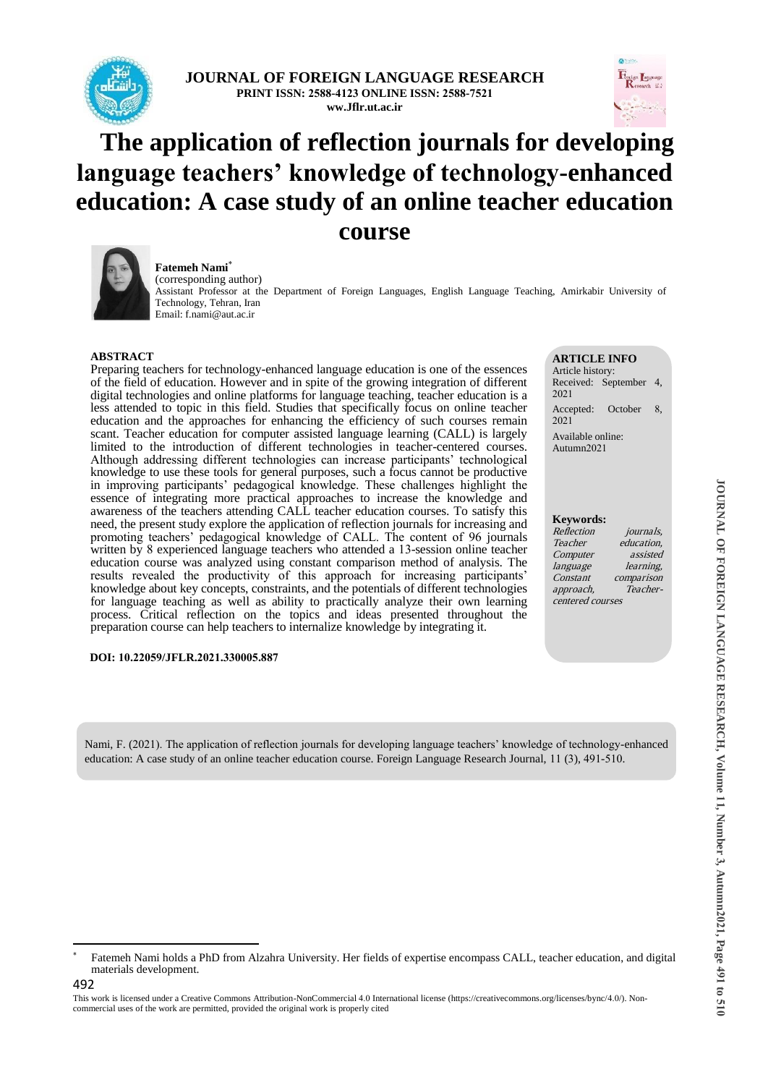

**JOURNAL OF FOREIGN LANGUAGE RESEARCH PRINT ISSN: 2588-4123 ONLINE ISSN: 2588-7521 ww.Jflr.ut.ac.ir**

# **The application of reflection journals for developing language teachers' knowledge of technology-enhanced education: A case study of an online teacher education course**



**Fatemeh Nami** (corresponding author) Assistant Professor at the Department of Foreign Languages, English Language Teaching, Amirkabir University of Technology, Tehran, Iran Email: f.nami@aut.ac.ir

#### **ABSTRACT**

Preparing teachers for technology-enhanced language education is one of the essences of the field of education. However and in spite of the growing integration of different digital technologies and online platforms for language teaching, teacher education is a less attended to topic in this field. Studies that specifically focus on online teacher education and the approaches for enhancing the efficiency of such courses remain scant. Teacher education for computer assisted language learning (CALL) is largely limited to the introduction of different technologies in teacher-centered courses. Although addressing different technologies can increase participants' technological knowledge to use these tools for general purposes, such a focus cannot be productive in improving participants' pedagogical knowledge. These challenges highlight the essence of integrating more practical approaches to increase the knowledge and awareness of the teachers attending CALL teacher education courses. To satisfy this need, the present study explore the application of reflection journals for increasing and promoting teachers' pedagogical knowledge of CALL. The content of 96 journals written by 8 experienced language teachers who attended a 13-session online teacher education course was analyzed using constant comparison method of analysis. The results revealed the productivity of this approach for increasing participants' knowledge about key concepts, constraints, and the potentials of different technologies for language teaching as well as ability to practically analyze their own learning process. Critical reflection on the topics and ideas presented throughout the preparation course can help teachers to internalize knowledge by integrating it.

#### **DOI: 10.22059/JFLR.2021.330005.887**

#### **ARTICLE INFO**

Article history: Received: September 4, 2021 Accepted: October 8, 2021 Available online:

Autumn2021

#### **Keywords:**

Reflection *journals*,<br>Teacher education. education. Computer assisted language learning, Constant comparison<br>approach, Teacherapproach, centered courses

Nami, F. (2021). The application of reflection journals for developing language teachers' knowledge of technology-enhanced education: A case study of an online teacher education course. Foreign Language Research Journal, 11 (3), 491-510.

1

<sup>\*</sup> Fatemeh Nami holds a PhD from Alzahra University. Her fields of expertise encompass CALL, teacher education, and digital materials development.

This work is licensed under a Creative Commons Attribution-NonCommercial 4.0 International license (https://creativecommons.org/licenses/bync/4.0/). Noncommercial uses of the work are permitted, provided the original work is properly cited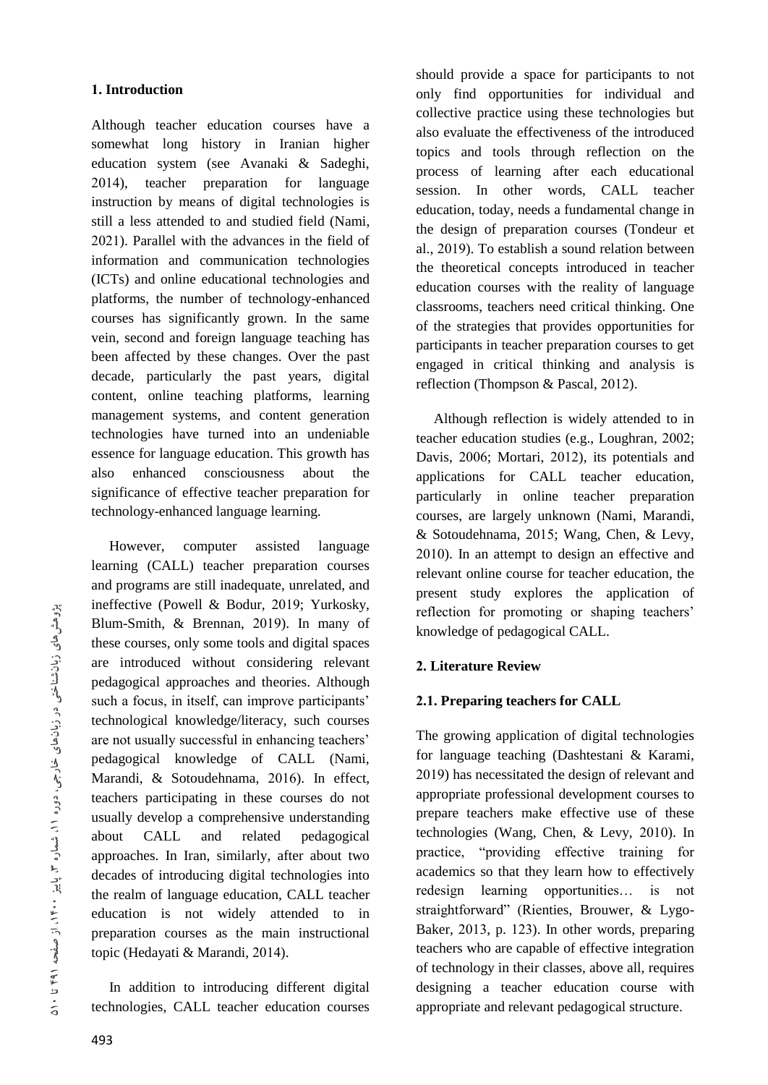#### **1. Introduction**

Although teacher education courses have a somewhat long history in Iranian higher education system (see Avanaki & Sadeghi, 2014), teacher preparation for language instruction by means of digital technologies is still a less attended to and studied field (Nami, 2021). Parallel with the advances in the field of information and communication technologies (ICTs) and online educational technologies and platforms, the number of technology-enhanced courses has significantly grown. In the same vein, second and foreign language teaching has been affected by these changes. Over the past decade, particularly the past years, digital content, online teaching platforms, learning management systems, and content generation technologies have turned into an undeniable essence for language education. This growth has also enhanced consciousness about the significance of effective teacher preparation for technology-enhanced language learning.

 However, computer assisted language learning (CALL) teacher preparation courses and programs are still inadequate, unrelated, and ineffective (Powell & Bodur, 2019; Yurkosky, Blum-Smith, & Brennan, 2019). In many of these courses, only some tools and digital spaces are introduced without considering relevant pedagogical approaches and theories. Although such a focus, in itself, can improve participants' technological knowledge/literacy, such courses are not usually successful in enhancing teachers' pedagogical knowledge of CALL (Nami, Marandi, & Sotoudehnama, 2016). In effect, teachers participating in these courses do not usually develop a comprehensive understanding about CALL and related pedagogical approaches. In Iran, similarly, after about two decades of introducing digital technologies into the realm of language education, CALL teacher education is not widely attended to in preparation courses as the main instructional topic (Hedayati & Marandi, 2014).

 In addition to introducing different digital technologies, CALL teacher education courses

should provide a space for participants to not only find opportunities for individual and collective practice using these technologies but also evaluate the effectiveness of the introduced topics and tools through reflection on the process of learning after each educational session. In other words, CALL teacher education, today, needs a fundamental change in the design of preparation courses (Tondeur et al., 2019). To establish a sound relation between the theoretical concepts introduced in teacher education courses with the reality of language classrooms, teachers need critical thinking. One of the strategies that provides opportunities for participants in teacher preparation courses to get engaged in critical thinking and analysis is reflection (Thompson & Pascal, 2012).

 Although reflection is widely attended to in teacher education studies (e.g., Loughran, 2002; Davis, 2006; Mortari, 2012), its potentials and applications for CALL teacher education, particularly in online teacher preparation courses, are largely unknown (Nami, Marandi, & Sotoudehnama, 2015; Wang, Chen, & Levy, 2010). In an attempt to design an effective and relevant online course for teacher education, the present study explores the application of reflection for promoting or shaping teachers' knowledge of pedagogical CALL.

## **2. Literature Review**

# **2.1. Preparing teachers for CALL**

The growing application of digital technologies for language teaching (Dashtestani & Karami, 2019) has necessitated the design of relevant and appropriate professional development courses to prepare teachers make effective use of these technologies (Wang, Chen, & Levy, 2010). In practice, "providing effective training for academics so that they learn how to effectively redesign learning opportunities… is not straightforward" (Rienties, Brouwer, & Lygo-Baker, 2013, p. 123). In other words, preparing teachers who are capable of effective integration of technology in their classes, above all, requires designing a teacher education course with appropriate and relevant pedagogical structure.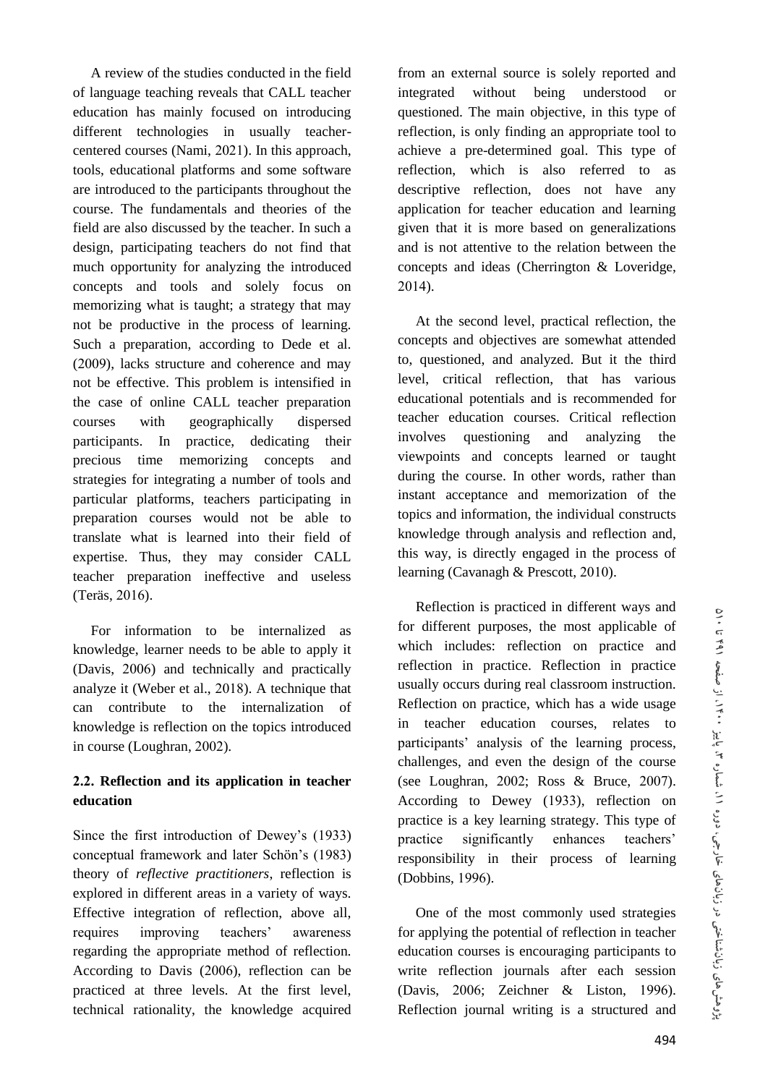A review of the studies conducted in the field of language teaching reveals that CALL teacher education has mainly focused on introducing different technologies in usually teachercentered courses (Nami, 2021). In this approach, tools, educational platforms and some software are introduced to the participants throughout the course. The fundamentals and theories of the field are also discussed by the teacher. In such a design, participating teachers do not find that much opportunity for analyzing the introduced concepts and tools and solely focus on memorizing what is taught; a strategy that may not be productive in the process of learning. Such a preparation, according to Dede et al. (2009), lacks structure and coherence and may not be effective. This problem is intensified in the case of online CALL teacher preparation courses with geographically dispersed participants. In practice, dedicating their precious time memorizing concepts and strategies for integrating a number of tools and particular platforms, teachers participating in preparation courses would not be able to translate what is learned into their field of expertise. Thus, they may consider CALL teacher preparation ineffective and useless (Teräs, 2016).

 For information to be internalized as knowledge, learner needs to be able to apply it (Davis, 2006) and technically and practically analyze it (Weber et al., 2018). A technique that can contribute to the internalization of knowledge is reflection on the topics introduced in course (Loughran, 2002).

# **2.2. Reflection and its application in teacher education**

Since the first introduction of Dewey's (1933) conceptual framework and later Schön's (1983) theory of *reflective practitioners*, reflection is explored in different areas in a variety of ways. Effective integration of reflection, above all, requires improving teachers' awareness regarding the appropriate method of reflection. According to Davis (2006), reflection can be practiced at three levels. At the first level, technical rationality, the knowledge acquired from an external source is solely reported and integrated without being understood or questioned. The main objective, in this type of reflection, is only finding an appropriate tool to achieve a pre-determined goal. This type of reflection, which is also referred to as descriptive reflection, does not have any application for teacher education and learning given that it is more based on generalizations and is not attentive to the relation between the concepts and ideas (Cherrington & Loveridge, 2014).

 At the second level, practical reflection, the concepts and objectives are somewhat attended to, questioned, and analyzed. But it the third level, critical reflection, that has various educational potentials and is recommended for teacher education courses. Critical reflection involves questioning and analyzing the viewpoints and concepts learned or taught during the course. In other words, rather than instant acceptance and memorization of the topics and information, the individual constructs knowledge through analysis and reflection and, this way, is directly engaged in the process of learning (Cavanagh & Prescott, 2010).

 Reflection is practiced in different ways and for different purposes, the most applicable of which includes: reflection on practice and reflection in practice. Reflection in practice usually occurs during real classroom instruction. Reflection on practice, which has a wide usage in teacher education courses, relates to participants' analysis of the learning process, challenges, and even the design of the course (see Loughran, 2002; Ross & Bruce, 2007). According to Dewey (1933), reflection on practice is a key learning strategy. This type of practice significantly enhances teachers' responsibility in their process of learning (Dobbins, 1996).

 One of the most commonly used strategies for applying the potential of reflection in teacher education courses is encouraging participants to write reflection journals after each session (Davis, 2006; Zeichner & Liston, 1996). Reflection journal writing is a structured and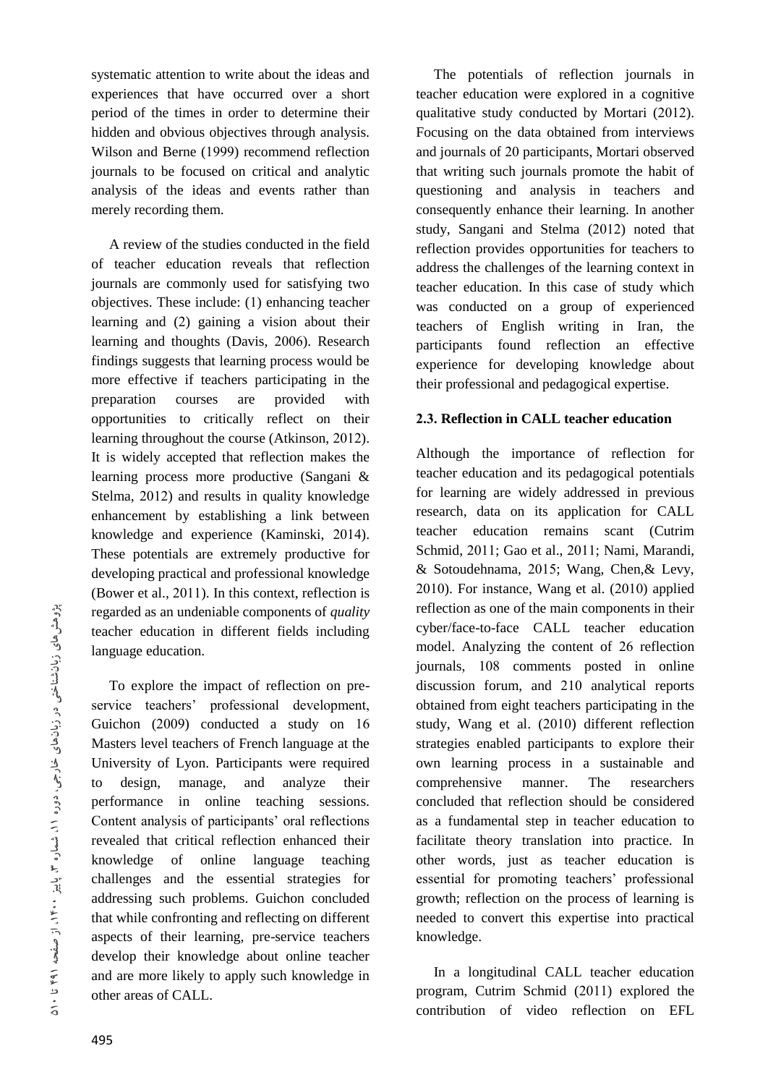systematic attention to write about the ideas and experiences that have occurred over a short period of the times in order to determine their hidden and obvious objectives through analysis. Wilson and Berne (1999) recommend reflection journals to be focused on critical and analytic analysis of the ideas and events rather than merely recording them.

 A review of the studies conducted in the field of teacher education reveals that reflection journals are commonly used for satisfying two objectives. These include: (1) enhancing teacher learning and (2) gaining a vision about their learning and thoughts (Davis, 2006). Research findings suggests that learning process would be more effective if teachers participating in the preparation courses are provided with opportunities to critically reflect on their learning throughout the course (Atkinson, 2012). It is widely accepted that reflection makes the learning process more productive (Sangani & Stelma, 2012) and results in quality knowledge enhancement by establishing a link between knowledge and experience (Kaminski, 2014). These potentials are extremely productive for developing practical and professional knowledge (Bower et al., 2011). In this context, reflection is regarded as an undeniable components of *quality* teacher education in different fields including language education.

 To explore the impact of reflection on preservice teachers' professional development, Guichon (2009) conducted a study on 16 Masters level teachers of French language at the University of Lyon. Participants were required to design, manage, and analyze their performance in online teaching sessions. Content analysis of participants' oral reflections revealed that critical reflection enhanced their knowledge of online language teaching challenges and the essential strategies for addressing such problems. Guichon concluded that while confronting and reflecting on different aspects of their learning, pre-service teachers develop their knowledge about online teacher and are more likely to apply such knowledge in other areas of CALL.

 The potentials of reflection journals in teacher education were explored in a cognitive qualitative study conducted by Mortari (2012). Focusing on the data obtained from interviews and journals of 20 participants, Mortari observed that writing such journals promote the habit of questioning and analysis in teachers and consequently enhance their learning. In another study, Sangani and Stelma (2012) noted that reflection provides opportunities for teachers to address the challenges of the learning context in teacher education. In this case of study which was conducted on a group of experienced teachers of English writing in Iran, the participants found reflection an effective experience for developing knowledge about their professional and pedagogical expertise.

## **2.3. Reflection in CALL teacher education**

Although the importance of reflection for teacher education and its pedagogical potentials for learning are widely addressed in previous research, data on its application for CALL teacher education remains scant (Cutrim Schmid, 2011; Gao et al., 2011; Nami, Marandi, & Sotoudehnama, 2015; Wang, Chen,& Levy, 2010). For instance, Wang et al. (2010) applied reflection as one of the main components in their cyber/face-to-face CALL teacher education model. Analyzing the content of 26 reflection journals, 108 comments posted in online discussion forum, and 210 analytical reports obtained from eight teachers participating in the study, Wang et al. (2010) different reflection strategies enabled participants to explore their own learning process in a sustainable and comprehensive manner. The researchers concluded that reflection should be considered as a fundamental step in teacher education to facilitate theory translation into practice. In other words, just as teacher education is essential for promoting teachers' professional growth; reflection on the process of learning is needed to convert this expertise into practical knowledge.

 In a longitudinal CALL teacher education program, Cutrim Schmid (2011) explored the contribution of video reflection on EFL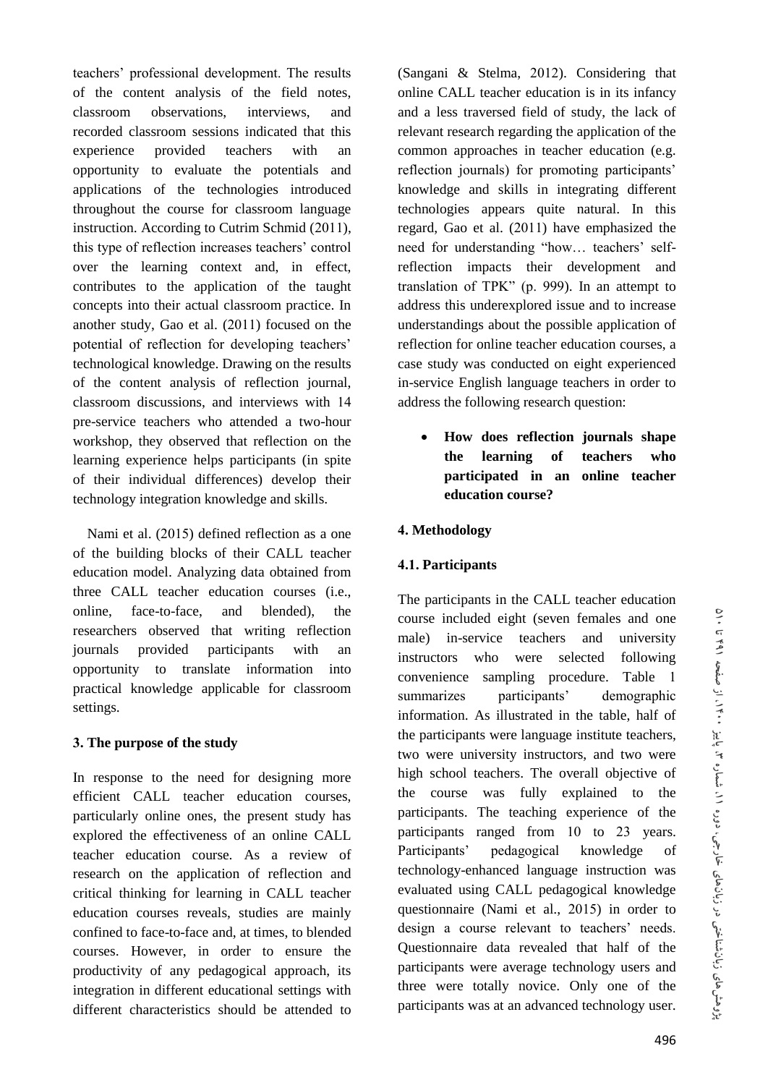teachers' professional development. The results of the content analysis of the field notes, classroom observations, interviews, and recorded classroom sessions indicated that this experience provided teachers with an opportunity to evaluate the potentials and applications of the technologies introduced throughout the course for classroom language instruction. According to Cutrim Schmid (2011), this type of reflection increases teachers' control over the learning context and, in effect, contributes to the application of the taught concepts into their actual classroom practice. In another study, Gao et al. (2011) focused on the potential of reflection for developing teachers' technological knowledge. Drawing on the results of the content analysis of reflection journal, classroom discussions, and interviews with 14 pre-service teachers who attended a two-hour workshop, they observed that reflection on the learning experience helps participants (in spite of their individual differences) develop their technology integration knowledge and skills.

 Nami et al. (2015) defined reflection as a one of the building blocks of their CALL teacher education model. Analyzing data obtained from three CALL teacher education courses (i.e., online, face-to-face, and blended), the researchers observed that writing reflection journals provided participants with an opportunity to translate information into practical knowledge applicable for classroom settings.

## **3. The purpose of the study**

In response to the need for designing more efficient CALL teacher education courses, particularly online ones, the present study has explored the effectiveness of an online CALL teacher education course. As a review of research on the application of reflection and critical thinking for learning in CALL teacher education courses reveals, studies are mainly confined to face-to-face and, at times, to blended courses. However, in order to ensure the productivity of any pedagogical approach, its integration in different educational settings with different characteristics should be attended to

(Sangani & Stelma, 2012). Considering that online CALL teacher education is in its infancy and a less traversed field of study, the lack of relevant research regarding the application of the common approaches in teacher education (e.g. reflection journals) for promoting participants' knowledge and skills in integrating different technologies appears quite natural. In this regard, Gao et al. (2011) have emphasized the need for understanding "how… teachers' selfreflection impacts their development and translation of TPK" (p. 999). In an attempt to address this underexplored issue and to increase understandings about the possible application of reflection for online teacher education courses, a case study was conducted on eight experienced in-service English language teachers in order to address the following research question:

 **How does reflection journals shape the learning of teachers who participated in an online teacher education course?** 

## **4. Methodology**

## **4.1. Participants**

The participants in the CALL teacher education course included eight (seven females and one male) in-service teachers and university instructors who were selected following convenience sampling procedure. Table 1 summarizes participants' demographic information. As illustrated in the table, half of the participants were language institute teachers, two were university instructors, and two were high school teachers. The overall objective of the course was fully explained to the participants. The teaching experience of the participants ranged from 10 to 23 years. Participants' pedagogical knowledge of technology-enhanced language instruction was evaluated using CALL pedagogical knowledge questionnaire (Nami et al., 2015) in order to design a course relevant to teachers' needs. Questionnaire data revealed that half of the participants were average technology users and three were totally novice. Only one of the participants was at an advanced technology user.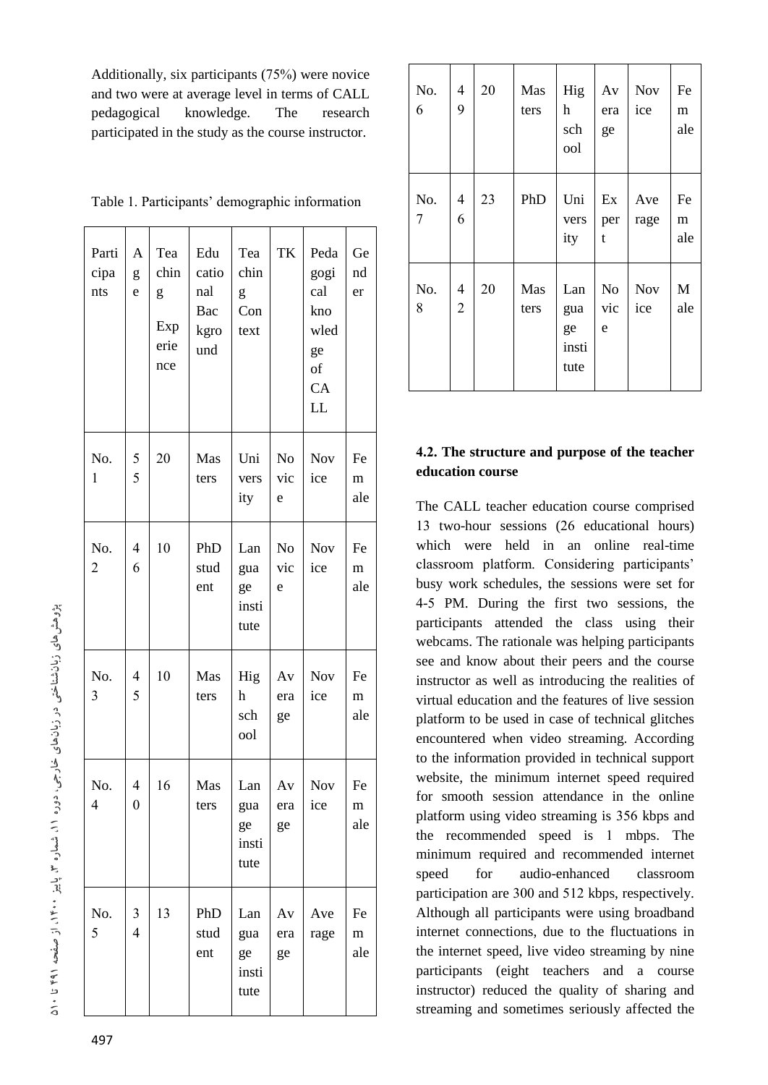Additionally, six participants (75%) were novice and two were at average level in terms of CALL pedagogical knowledge. The research participated in the study as the course instructor.

| Parti<br>cipa<br>nts  | A<br>g<br>e                      | Tea<br>chin<br>g<br>Exp<br>erie<br>nce | Edu<br>catio<br>nal<br>Bac<br>kgro<br>und | Tea<br>chin<br>g<br>Con<br>text   | TK                         | Peda<br>gogi<br>cal<br>kno<br>wled<br>ge<br>of<br>CA<br>LL | Ge<br>nd<br>er         |
|-----------------------|----------------------------------|----------------------------------------|-------------------------------------------|-----------------------------------|----------------------------|------------------------------------------------------------|------------------------|
| No.<br>$\mathbf{1}$   | 5<br>5                           | 20                                     | Mas<br>ters                               | Uni<br>vers<br>ity                | N <sub>o</sub><br>vic<br>e | Nov<br>ice                                                 | Fe<br>m<br>ale         |
| No.<br>$\overline{2}$ | 4<br>6                           | 10                                     | PhD<br>stud<br>ent                        | Lan<br>gua<br>ge<br>insti<br>tute | No<br>vic<br>e             | Nov<br>ice                                                 | Fe<br>m<br>ale         |
| No.<br>3              | $\overline{\mathbf{4}}$<br>5     | 10                                     | Mas<br>ters                               | Hig<br>h<br>sch<br>ool            | Av<br>era<br>ge            | <b>Nov</b><br>ice                                          | Fe<br>m<br>ale         |
| No.<br>4              | 4<br>$\overline{0}$              | 16                                     | Mas<br>ters                               | Lan<br>gua<br>ge<br>insti<br>tute | Av<br>era<br>ge            | <b>Nov</b><br>ice                                          | Fe<br>${\rm m}$<br>ale |
| No.<br>5              | $\mathfrak{Z}$<br>$\overline{4}$ | 13                                     | PhD<br>stud<br>ent                        | Lan<br>gua<br>ge<br>insti<br>tute | Av<br>era<br>ge            | Ave<br>rage                                                | Fe<br>${\rm m}$<br>ale |

Table 1. Participants' demographic information

| No.<br>6 | 4<br>9              | 20 | Mas<br>ters | Hig<br>h<br>sch<br>ool            | Av<br>era<br>ge | <b>Nov</b><br>ice | Fe<br>m<br>ale |
|----------|---------------------|----|-------------|-----------------------------------|-----------------|-------------------|----------------|
| No.<br>7 | 4<br>6              | 23 | PhD         | Uni<br>vers<br>ity                | Ex<br>per<br>t  | Ave<br>rage       | Fe<br>m<br>ale |
| No.<br>8 | 4<br>$\overline{2}$ | 20 | Mas<br>ters | Lan<br>gua<br>ge<br>insti<br>tute | No<br>vic<br>e  | <b>Nov</b><br>ice | M<br>ale       |

# **4.2. The structure and purpose of the teacher education course**

The CALL teacher education course comprised 13 two-hour sessions (26 educational hours) which were held in an online real-time classroom platform. Considering participants' busy work schedules, the sessions were set for 4-5 PM. During the first two sessions, the participants attended the class using their webcams. The rationale was helping participants see and know about their peers and the course instructor as well as introducing the realities of virtual education and the features of live session platform to be used in case of technical glitches encountered when video streaming. According to the information provided in technical support website, the minimum internet speed required for smooth session attendance in the online platform using video streaming is 356 kbps and the recommended speed is 1 mbps. The minimum required and recommended internet speed for audio-enhanced classroom participation are 300 and 512 kbps, respectively. Although all participants were using broadband internet connections, due to the fluctuations in the internet speed, live video streaming by nine participants (eight teachers and a course instructor) reduced the quality of sharing and streaming and sometimes seriously affected the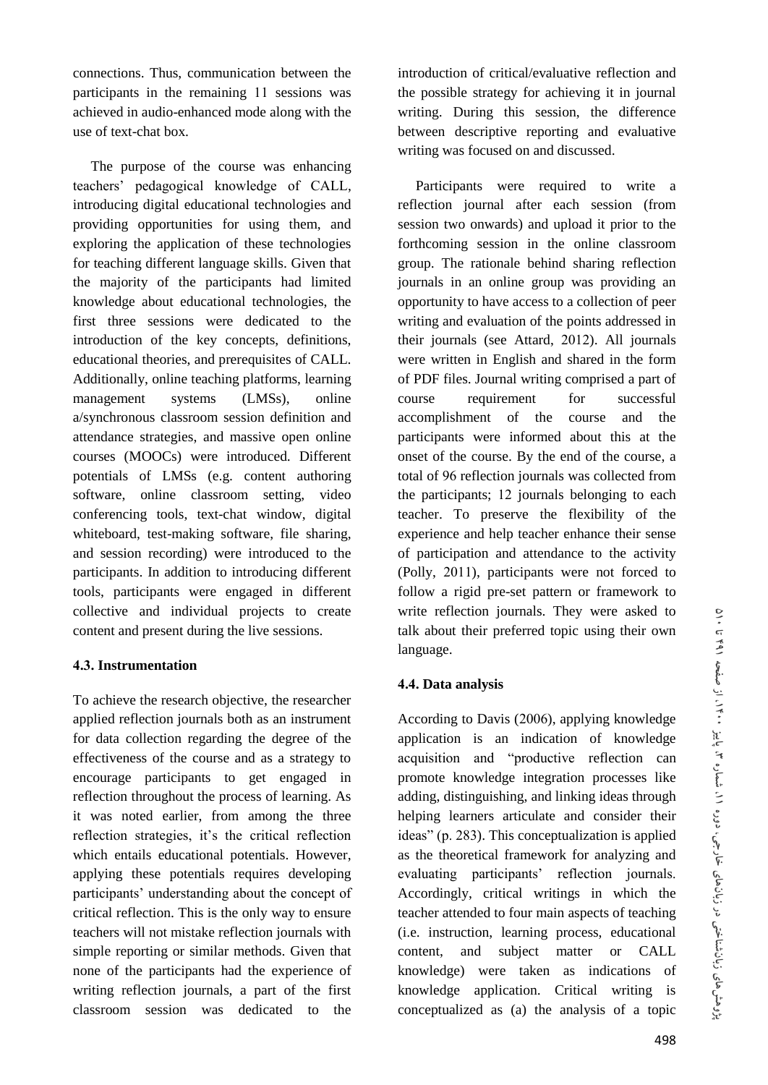connections. Thus, communication between the participants in the remaining 11 sessions was achieved in audio-enhanced mode along with the use of text-chat box.

 The purpose of the course was enhancing teachers' pedagogical knowledge of CALL, introducing digital educational technologies and providing opportunities for using them, and exploring the application of these technologies for teaching different language skills. Given that the majority of the participants had limited knowledge about educational technologies, the first three sessions were dedicated to the introduction of the key concepts, definitions, educational theories, and prerequisites of CALL. Additionally, online teaching platforms, learning management systems (LMSs), online a/synchronous classroom session definition and attendance strategies, and massive open online courses (MOOCs) were introduced. Different potentials of LMSs (e.g. content authoring software, online classroom setting, video conferencing tools, text-chat window, digital whiteboard, test-making software, file sharing, and session recording) were introduced to the participants. In addition to introducing different tools, participants were engaged in different collective and individual projects to create content and present during the live sessions.

## **4.3. Instrumentation**

To achieve the research objective, the researcher applied reflection journals both as an instrument for data collection regarding the degree of the effectiveness of the course and as a strategy to encourage participants to get engaged in reflection throughout the process of learning. As it was noted earlier, from among the three reflection strategies, it's the critical reflection which entails educational potentials. However, applying these potentials requires developing participants' understanding about the concept of critical reflection. This is the only way to ensure teachers will not mistake reflection journals with simple reporting or similar methods. Given that none of the participants had the experience of writing reflection journals, a part of the first classroom session was dedicated to the

introduction of critical/evaluative reflection and the possible strategy for achieving it in journal writing. During this session, the difference between descriptive reporting and evaluative writing was focused on and discussed.

 Participants were required to write a reflection journal after each session (from session two onwards) and upload it prior to the forthcoming session in the online classroom group. The rationale behind sharing reflection journals in an online group was providing an opportunity to have access to a collection of peer writing and evaluation of the points addressed in their journals (see Attard, 2012). All journals were written in English and shared in the form of PDF files. Journal writing comprised a part of course requirement for successful accomplishment of the course and the participants were informed about this at the onset of the course. By the end of the course, a total of 96 reflection journals was collected from the participants; 12 journals belonging to each teacher. To preserve the flexibility of the experience and help teacher enhance their sense of participation and attendance to the activity (Polly, 2011), participants were not forced to follow a rigid pre-set pattern or framework to write reflection journals. They were asked to talk about their preferred topic using their own language.

## **4.4. Data analysis**

According to Davis (2006), applying knowledge application is an indication of knowledge acquisition and "productive reflection can promote knowledge integration processes like adding, distinguishing, and linking ideas through helping learners articulate and consider their ideas" (p. 283). This conceptualization is applied as the theoretical framework for analyzing and evaluating participants' reflection journals. Accordingly, critical writings in which the teacher attended to four main aspects of teaching (i.e. instruction, learning process, educational content, and subject matter or CALL knowledge) were taken as indications of knowledge application. Critical writing is conceptualized as (a) the analysis of a topic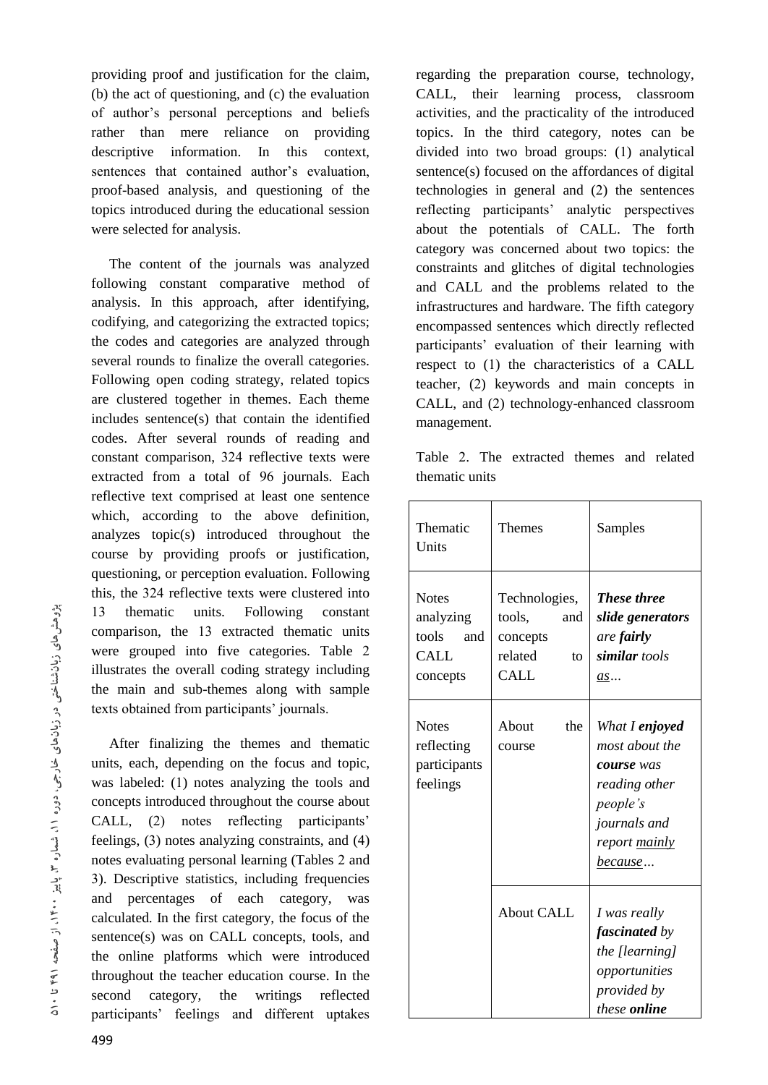providing proof and justification for the claim, (b) the act of questioning, and (c) the evaluation of author's personal perceptions and beliefs rather than mere reliance on providing descriptive information. In this context, sentences that contained author's evaluation, proof-based analysis, and questioning of the topics introduced during the educational session were selected for analysis.

 The content of the journals was analyzed following constant comparative method of analysis. In this approach, after identifying, codifying, and categorizing the extracted topics; the codes and categories are analyzed through several rounds to finalize the overall categories. Following open coding strategy, related topics are clustered together in themes. Each theme includes sentence(s) that contain the identified codes. After several rounds of reading and constant comparison, 324 reflective texts were extracted from a total of 96 journals. Each reflective text comprised at least one sentence which, according to the above definition, analyzes topic(s) introduced throughout the course by providing proofs or justification, questioning, or perception evaluation. Following this, the 324 reflective texts were clustered into 13 thematic units. Following constant comparison, the 13 extracted thematic units were grouped into five categories. Table 2 illustrates the overall coding strategy including the main and sub-themes along with sample texts obtained from participants' journals.

 After finalizing the themes and thematic units, each, depending on the focus and topic, was labeled: (1) notes analyzing the tools and concepts introduced throughout the course about CALL, (2) notes reflecting participants' feelings, (3) notes analyzing constraints, and (4) notes evaluating personal learning (Tables 2 and 3). Descriptive statistics, including frequencies and percentages of each category, was calculated. In the first category, the focus of the sentence(s) was on CALL concepts, tools, and the online platforms which were introduced throughout the teacher education course. In the second category, the writings reflected participants' feelings and different uptakes

regarding the preparation course, technology, CALL, their learning process, classroom activities, and the practicality of the introduced topics. In the third category, notes can be divided into two broad groups: (1) analytical sentence(s) focused on the affordances of digital technologies in general and (2) the sentences reflecting participants' analytic perspectives about the potentials of CALL. The forth category was concerned about two topics: the constraints and glitches of digital technologies and CALL and the problems related to the infrastructures and hardware. The fifth category encompassed sentences which directly reflected participants' evaluation of their learning with respect to (1) the characteristics of a CALL teacher, (2) keywords and main concepts in CALL, and (2) technology-enhanced classroom management.

|                |  | Table 2. The extracted themes and related |  |  |
|----------------|--|-------------------------------------------|--|--|
| thematic units |  |                                           |  |  |

| Thematic<br>Units                                                    | Themes                                                              | Samples                                                                                                                               |
|----------------------------------------------------------------------|---------------------------------------------------------------------|---------------------------------------------------------------------------------------------------------------------------------------|
| <b>Notes</b><br>analyzing<br>tools<br>and<br><b>CALL</b><br>concepts | Technologies,<br>tools,<br>and<br>concepts<br>related<br>to<br>CALL | <b>These three</b><br>slide generators<br>are <b>fairly</b><br>similar tools<br>as                                                    |
| <b>Notes</b><br>reflecting<br>participants<br>feelings               | About<br>the<br>course                                              | What I enjoyed<br>most about the<br>course was<br>reading other<br>people's<br>journals and<br>report <u>mainly</u><br><u>because</u> |
|                                                                      | <b>About CALL</b>                                                   | I was really<br><i>fascinated by</i><br>the [learning]<br>opportunities<br>provided by<br>these <b>online</b>                         |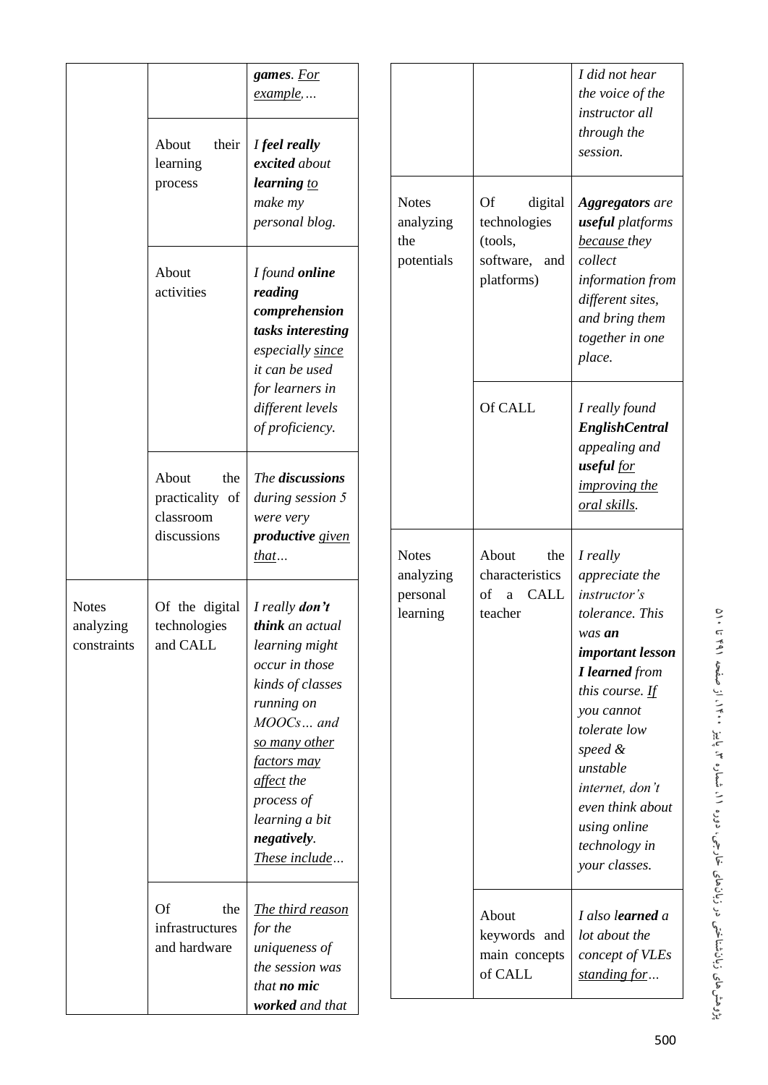|                                          | About<br>their<br>learning                          | games. For<br>$\frac{example}{.}$<br>I feel really<br>excited about                                                                                                                                                                              |  |                                  |                                                   | I did not hear<br>the voice of the<br>instructor all<br>through the<br>session.                |                                                                                                                                                                                                                                                                       |
|------------------------------------------|-----------------------------------------------------|--------------------------------------------------------------------------------------------------------------------------------------------------------------------------------------------------------------------------------------------------|--|----------------------------------|---------------------------------------------------|------------------------------------------------------------------------------------------------|-----------------------------------------------------------------------------------------------------------------------------------------------------------------------------------------------------------------------------------------------------------------------|
|                                          | process                                             | learning to<br>make my<br>personal blog.                                                                                                                                                                                                         |  | <b>Notes</b><br>analyzing<br>the | <b>Of</b><br>digital<br>technologies<br>(tools,   | <b>Aggregators</b> are<br>useful platforms<br>because they                                     |                                                                                                                                                                                                                                                                       |
|                                          | About<br>activities                                 | I found online<br>reading<br>comprehension<br>tasks interesting<br>especially since<br>it can be used                                                                                                                                            |  | potentials                       | software, and<br>platforms)                       | collect<br>information from<br>different sites,<br>and bring them<br>together in one<br>place. |                                                                                                                                                                                                                                                                       |
|                                          |                                                     | for learners in<br>different levels<br>of proficiency.                                                                                                                                                                                           |  |                                  | Of CALL                                           | I really found<br><b>EnglishCentral</b><br>appealing and                                       |                                                                                                                                                                                                                                                                       |
|                                          | About<br>the<br>practicality of<br>classroom        | The discussions<br>during session 5<br>were very                                                                                                                                                                                                 |  |                                  |                                                   | useful for<br><i>improving the</i><br>oral skills.                                             |                                                                                                                                                                                                                                                                       |
|                                          | discussions                                         | productive given<br>that                                                                                                                                                                                                                         |  | <b>Notes</b><br>analyzing        | About<br>the<br>characteristics                   | I really<br>appreciate the                                                                     |                                                                                                                                                                                                                                                                       |
| <b>Notes</b><br>analyzing<br>constraints | Of the digital<br>technologies<br>and CALL          | I really <b>don't</b><br>think an actual<br>learning might<br>occur in those<br>kinds of classes<br>running on<br>MOOCs and<br>so many other<br><i>factors may</i><br>affect the<br>process of<br>learning a bit<br>negatively.<br>These include |  |                                  | personal<br>learning                              | of<br>a CALL<br>teacher                                                                        | instructor's<br>tolerance. This<br>was an<br>important lesson<br><b>I</b> learned from<br>this course. $\underline{If}$<br>you cannot<br>tolerate low<br>speed &<br>unstable<br>internet, don't<br>even think about<br>using online<br>technology in<br>your classes. |
|                                          | <b>Of</b><br>the<br>infrastructures<br>and hardware | The third reason<br>for the<br>uniqueness of<br>the session was<br>that <b>no</b> mic<br>worked and that                                                                                                                                         |  |                                  | About<br>keywords and<br>main concepts<br>of CALL | I also learned a<br>lot about the<br>concept of VLEs<br>standing for                           |                                                                                                                                                                                                                                                                       |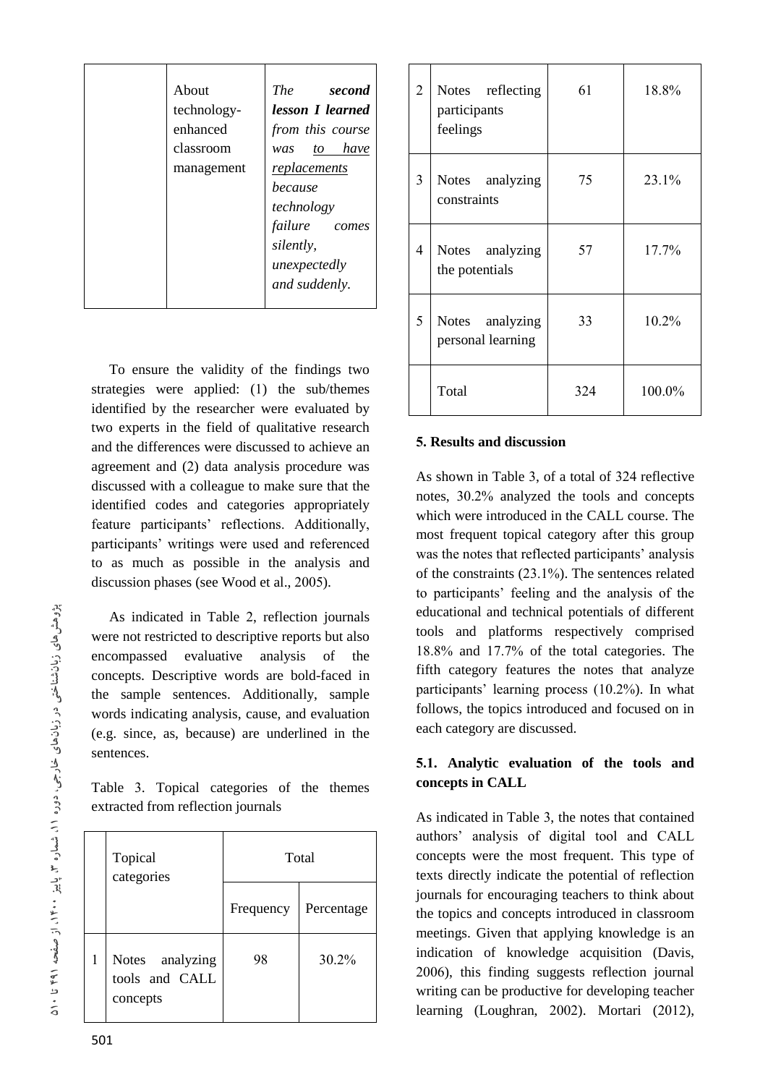| About<br>technology-<br>enhanced<br>classroom<br>management | <i>The</i><br>second<br>lesson <i>I</i> learned<br>from this course<br>was to have<br>replacements<br>because<br>technology<br>failure comes<br>silently,<br>unexpectedly<br>and suddenly. |
|-------------------------------------------------------------|--------------------------------------------------------------------------------------------------------------------------------------------------------------------------------------------|

 To ensure the validity of the findings two strategies were applied: (1) the sub/themes identified by the researcher were evaluated by two experts in the field of qualitative research and the differences were discussed to achieve an agreement and (2) data analysis procedure was discussed with a colleague to make sure that the identified codes and categories appropriately feature participants' reflections. Additionally, participants' writings were used and referenced to as much as possible in the analysis and discussion phases (see Wood et al., 2005).

 As indicated in Table 2, reflection journals were not restricted to descriptive reports but also encompassed evaluative analysis of the concepts. Descriptive words are bold-faced in the sample sentences. Additionally, sample words indicating analysis, cause, and evaluation (e.g. since, as, because) are underlined in the sentences.

Table 3. Topical categories of the themes extracted from reflection journals

| Topical<br>categories                         | Total     |            |  |
|-----------------------------------------------|-----------|------------|--|
|                                               | Frequency | Percentage |  |
| Notes analyzing<br>tools and CALL<br>concepts | 98        | 30.2%      |  |

| $\overline{2}$ | Notes reflecting<br>participants<br>feelings | 61  | 18.8%  |
|----------------|----------------------------------------------|-----|--------|
| $\overline{3}$ | Notes analyzing<br>constraints               | 75  | 23.1%  |
| 4              | Notes analyzing<br>the potentials            | 57  | 17.7%  |
| 5              | Notes analyzing<br>personal learning         | 33  | 10.2%  |
|                | Total                                        | 324 | 100.0% |

## **5. Results and discussion**

As shown in Table 3, of a total of 324 reflective notes, 30.2% analyzed the tools and concepts which were introduced in the CALL course. The most frequent topical category after this group was the notes that reflected participants' analysis of the constraints (23.1%). The sentences related to participants' feeling and the analysis of the educational and technical potentials of different tools and platforms respectively comprised 18.8% and 17.7% of the total categories. The fifth category features the notes that analyze participants' learning process (10.2%). In what follows, the topics introduced and focused on in each category are discussed.

# **5.1. Analytic evaluation of the tools and concepts in CALL**

As indicated in Table 3, the notes that contained authors' analysis of digital tool and CALL concepts were the most frequent. This type of texts directly indicate the potential of reflection journals for encouraging teachers to think about the topics and concepts introduced in classroom meetings. Given that applying knowledge is an indication of knowledge acquisition (Davis, 2006), this finding suggests reflection journal writing can be productive for developing teacher learning (Loughran, 2002). Mortari (2012),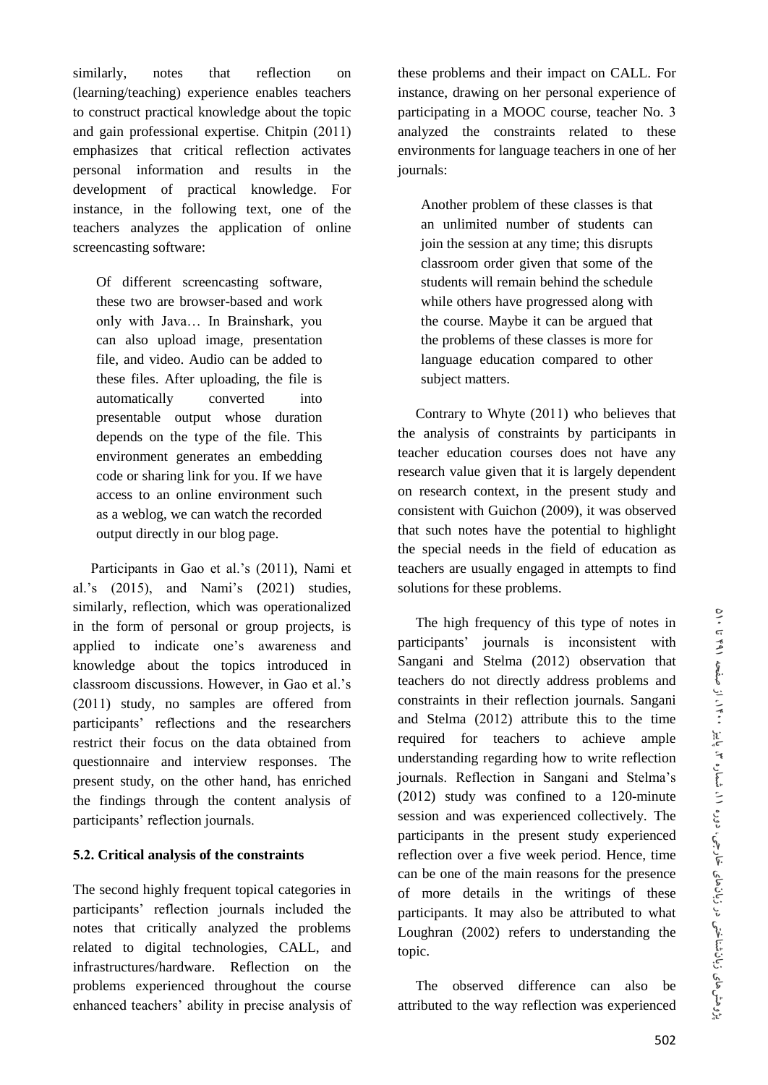similarly, notes that reflection on (learning/teaching) experience enables teachers to construct practical knowledge about the topic and gain professional expertise. Chitpin (2011) emphasizes that critical reflection activates personal information and results in the development of practical knowledge. For instance, in the following text, one of the teachers analyzes the application of online screencasting software:

Of different screencasting software, these two are browser-based and work only with Java… In Brainshark, you can also upload image, presentation file, and video. Audio can be added to these files. After uploading, the file is automatically converted into presentable output whose duration depends on the type of the file. This environment generates an embedding code or sharing link for you. If we have access to an online environment such as a weblog, we can watch the recorded output directly in our blog page.

 Participants in Gao et al.'s (2011), Nami et al.'s (2015), and Nami's (2021) studies, similarly, reflection, which was operationalized in the form of personal or group projects, is applied to indicate one's awareness and knowledge about the topics introduced in classroom discussions. However, in Gao et al.'s (2011) study, no samples are offered from participants' reflections and the researchers restrict their focus on the data obtained from questionnaire and interview responses. The present study, on the other hand, has enriched the findings through the content analysis of participants' reflection journals.

# **5.2. Critical analysis of the constraints**

The second highly frequent topical categories in participants' reflection journals included the notes that critically analyzed the problems related to digital technologies, CALL, and infrastructures/hardware. Reflection on the problems experienced throughout the course enhanced teachers' ability in precise analysis of these problems and their impact on CALL. For instance, drawing on her personal experience of participating in a MOOC course, teacher No. 3 analyzed the constraints related to these environments for language teachers in one of her journals:

Another problem of these classes is that an unlimited number of students can join the session at any time; this disrupts classroom order given that some of the students will remain behind the schedule while others have progressed along with the course. Maybe it can be argued that the problems of these classes is more for language education compared to other subject matters.

 Contrary to Whyte (2011) who believes that the analysis of constraints by participants in teacher education courses does not have any research value given that it is largely dependent on research context, in the present study and consistent with Guichon (2009), it was observed that such notes have the potential to highlight the special needs in the field of education as teachers are usually engaged in attempts to find solutions for these problems.

 The high frequency of this type of notes in participants' journals is inconsistent with Sangani and Stelma (2012) observation that teachers do not directly address problems and constraints in their reflection journals. Sangani and Stelma (2012) attribute this to the time required for teachers to achieve ample understanding regarding how to write reflection journals. Reflection in Sangani and Stelma's (2012) study was confined to a 120-minute session and was experienced collectively. The participants in the present study experienced reflection over a five week period. Hence, time can be one of the main reasons for the presence of more details in the writings of these participants. It may also be attributed to what Loughran (2002) refers to understanding the topic.

 The observed difference can also be attributed to the way reflection was experienced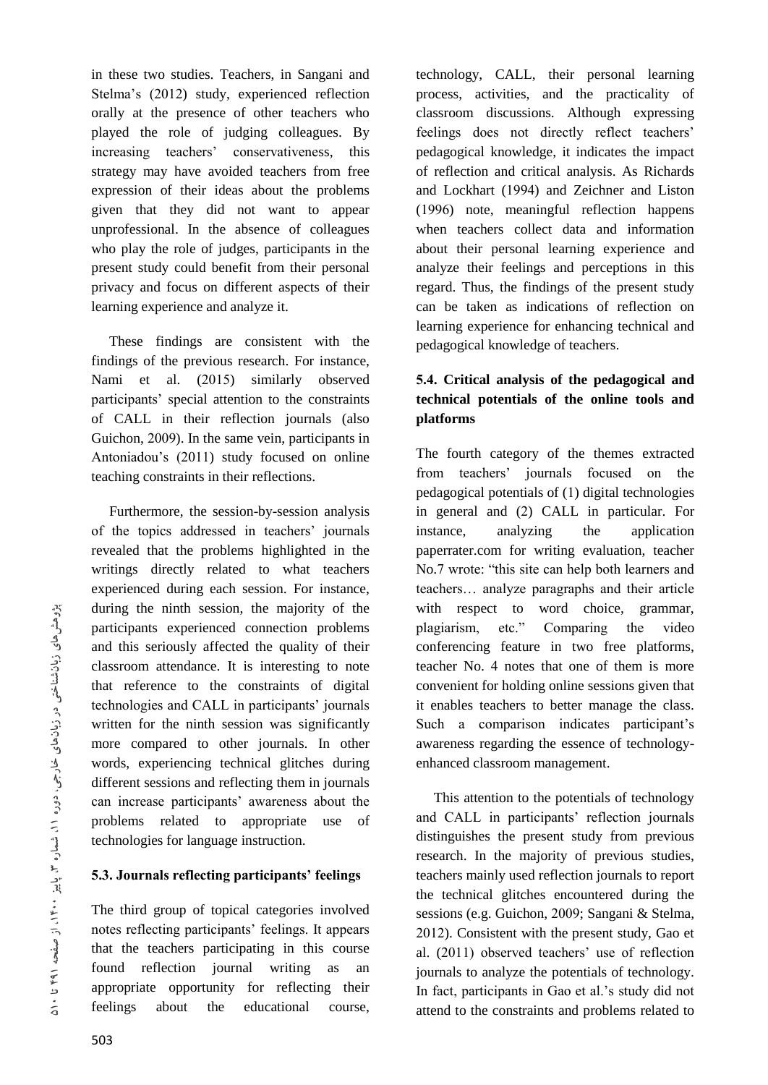in these two studies. Teachers, in Sangani and Stelma's (2012) study, experienced reflection orally at the presence of other teachers who played the role of judging colleagues. By increasing teachers' conservativeness, this strategy may have avoided teachers from free expression of their ideas about the problems given that they did not want to appear unprofessional. In the absence of colleagues who play the role of judges, participants in the present study could benefit from their personal privacy and focus on different aspects of their learning experience and analyze it.

 These findings are consistent with the findings of the previous research. For instance, Nami et al. (2015) similarly observed participants' special attention to the constraints of CALL in their reflection journals (also Guichon, 2009). In the same vein, participants in Antoniadou's (2011) study focused on online teaching constraints in their reflections.

 Furthermore, the session-by-session analysis of the topics addressed in teachers' journals revealed that the problems highlighted in the writings directly related to what teachers experienced during each session. For instance, during the ninth session, the majority of the participants experienced connection problems and this seriously affected the quality of their classroom attendance. It is interesting to note that reference to the constraints of digital technologies and CALL in participants' journals written for the ninth session was significantly more compared to other journals. In other words, experiencing technical glitches during different sessions and reflecting them in journals can increase participants' awareness about the problems related to appropriate use of technologies for language instruction.

## **5.3. Journals reflecting participants' feelings**

The third group of topical categories involved notes reflecting participants' feelings. It appears that the teachers participating in this course found reflection journal writing as an appropriate opportunity for reflecting their feelings about the educational course,

technology, CALL, their personal learning process, activities, and the practicality of classroom discussions. Although expressing feelings does not directly reflect teachers' pedagogical knowledge, it indicates the impact of reflection and critical analysis. As Richards and Lockhart (1994) and Zeichner and Liston (1996) note, meaningful reflection happens when teachers collect data and information about their personal learning experience and analyze their feelings and perceptions in this regard. Thus, the findings of the present study can be taken as indications of reflection on learning experience for enhancing technical and pedagogical knowledge of teachers.

# **5.4. Critical analysis of the pedagogical and technical potentials of the online tools and platforms**

The fourth category of the themes extracted from teachers' journals focused on the pedagogical potentials of (1) digital technologies in general and (2) CALL in particular. For instance, analyzing the application paperrater.com for writing evaluation, teacher No.7 wrote: "this site can help both learners and teachers… analyze paragraphs and their article with respect to word choice, grammar, plagiarism, etc." Comparing the video conferencing feature in two free platforms, teacher No. 4 notes that one of them is more convenient for holding online sessions given that it enables teachers to better manage the class. Such a comparison indicates participant's awareness regarding the essence of technologyenhanced classroom management.

 This attention to the potentials of technology and CALL in participants' reflection journals distinguishes the present study from previous research. In the majority of previous studies, teachers mainly used reflection journals to report the technical glitches encountered during the sessions (e.g. Guichon, 2009; Sangani & Stelma, 2012). Consistent with the present study, Gao et al. (2011) observed teachers' use of reflection journals to analyze the potentials of technology. In fact, participants in Gao et al.'s study did not attend to the constraints and problems related to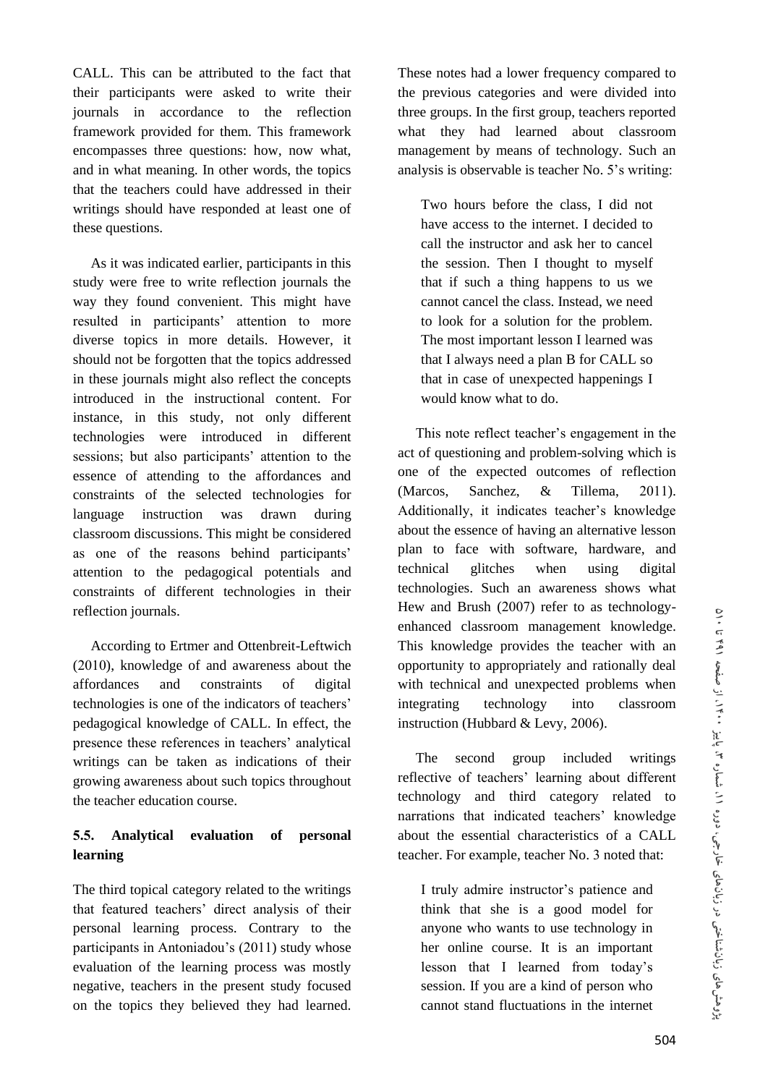CALL. This can be attributed to the fact that their participants were asked to write their journals in accordance to the reflection framework provided for them. This framework encompasses three questions: how, now what, and in what meaning. In other words, the topics that the teachers could have addressed in their writings should have responded at least one of these questions.

 As it was indicated earlier, participants in this study were free to write reflection journals the way they found convenient. This might have resulted in participants' attention to more diverse topics in more details. However, it should not be forgotten that the topics addressed in these journals might also reflect the concepts introduced in the instructional content. For instance, in this study, not only different technologies were introduced in different sessions; but also participants' attention to the essence of attending to the affordances and constraints of the selected technologies for language instruction was drawn during classroom discussions. This might be considered as one of the reasons behind participants' attention to the pedagogical potentials and constraints of different technologies in their reflection journals.

 According to Ertmer and Ottenbreit-Leftwich (2010), knowledge of and awareness about the affordances and constraints of digital technologies is one of the indicators of teachers' pedagogical knowledge of CALL. In effect, the presence these references in teachers' analytical writings can be taken as indications of their growing awareness about such topics throughout the teacher education course.

# **5.5. Analytical evaluation of personal learning**

The third topical category related to the writings that featured teachers' direct analysis of their personal learning process. Contrary to the participants in Antoniadou's (2011) study whose evaluation of the learning process was mostly negative, teachers in the present study focused on the topics they believed they had learned.

These notes had a lower frequency compared to the previous categories and were divided into three groups. In the first group, teachers reported what they had learned about classroom management by means of technology. Such an analysis is observable is teacher No. 5's writing:

Two hours before the class, I did not have access to the internet. I decided to call the instructor and ask her to cancel the session. Then I thought to myself that if such a thing happens to us we cannot cancel the class. Instead, we need to look for a solution for the problem. The most important lesson I learned was that I always need a plan B for CALL so that in case of unexpected happenings I would know what to do.

 This note reflect teacher's engagement in the act of questioning and problem-solving which is one of the expected outcomes of reflection (Marcos, Sanchez, & Tillema, 2011). Additionally, it indicates teacher's knowledge about the essence of having an alternative lesson plan to face with software, hardware, and technical glitches when using digital technologies. Such an awareness shows what Hew and Brush (2007) refer to as technologyenhanced classroom management knowledge. This knowledge provides the teacher with an opportunity to appropriately and rationally deal with technical and unexpected problems when integrating technology into classroom instruction (Hubbard & Levy, 2006).

 The second group included writings reflective of teachers' learning about different technology and third category related to narrations that indicated teachers' knowledge about the essential characteristics of a CALL teacher. For example, teacher No. 3 noted that:

I truly admire instructor's patience and think that she is a good model for anyone who wants to use technology in her online course. It is an important lesson that I learned from today's session. If you are a kind of person who cannot stand fluctuations in the internet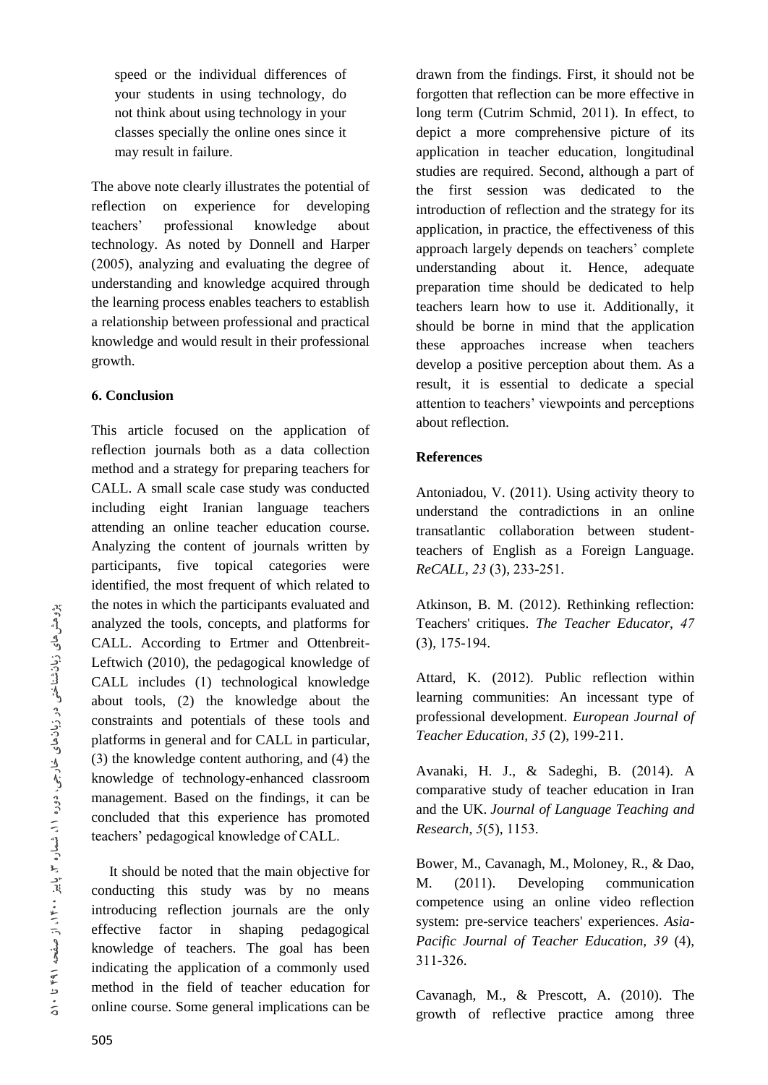speed or the individual differences of your students in using technology, do not think about using technology in your classes specially the online ones since it may result in failure.

The above note clearly illustrates the potential of reflection on experience for developing teachers' professional knowledge about technology. As noted by Donnell and Harper (2005), analyzing and evaluating the degree of understanding and knowledge acquired through the learning process enables teachers to establish a relationship between professional and practical knowledge and would result in their professional growth.

#### **6. Conclusion**

This article focused on the application of reflection journals both as a data collection method and a strategy for preparing teachers for CALL. A small scale case study was conducted including eight Iranian language teachers attending an online teacher education course. Analyzing the content of journals written by participants, five topical categories were identified, the most frequent of which related to the notes in which the participants evaluated and analyzed the tools, concepts, and platforms for CALL. According to Ertmer and Ottenbreit-Leftwich (2010), the pedagogical knowledge of CALL includes (1) technological knowledge about tools, (2) the knowledge about the constraints and potentials of these tools and platforms in general and for CALL in particular, (3) the knowledge content authoring, and (4) the knowledge of technology-enhanced classroom management. Based on the findings, it can be concluded that this experience has promoted teachers' pedagogical knowledge of CALL.

 It should be noted that the main objective for conducting this study was by no means introducing reflection journals are the only effective factor in shaping pedagogical knowledge of teachers. The goal has been indicating the application of a commonly used method in the field of teacher education for online course. Some general implications can be

drawn from the findings. First, it should not be forgotten that reflection can be more effective in long term (Cutrim Schmid, 2011). In effect, to depict a more comprehensive picture of its application in teacher education, longitudinal studies are required. Second, although a part of the first session was dedicated to the introduction of reflection and the strategy for its application, in practice, the effectiveness of this approach largely depends on teachers' complete understanding about it. Hence, adequate preparation time should be dedicated to help teachers learn how to use it. Additionally, it should be borne in mind that the application these approaches increase when teachers develop a positive perception about them. As a result, it is essential to dedicate a special attention to teachers' viewpoints and perceptions about reflection.

## **References**

Antoniadou, V. (2011). Using activity theory to understand the contradictions in an online transatlantic collaboration between studentteachers of English as a Foreign Language. *ReCALL, 23* (3)*,* 233-251.

Atkinson, B. M. (2012). Rethinking reflection: Teachers' critiques. *The Teacher Educator, 47* (3), 175-194.

Attard, K. (2012). Public reflection within learning communities: An incessant type of professional development. *European Journal of Teacher Education, 35* (2), 199-211.

Avanaki, H. J., & Sadeghi, B. (2014). A comparative study of teacher education in Iran and the UK. *Journal of Language Teaching and Research*, *5*(5), 1153.

Bower, M., Cavanagh, M., Moloney, R., & Dao, M. (2011). Developing communication competence using an online video reflection system: pre-service teachers' experiences. *Asia-Pacific Journal of Teacher Education, 39* (4), 311-326.

Cavanagh, M., & Prescott, A. (2010). The growth of reflective practice among three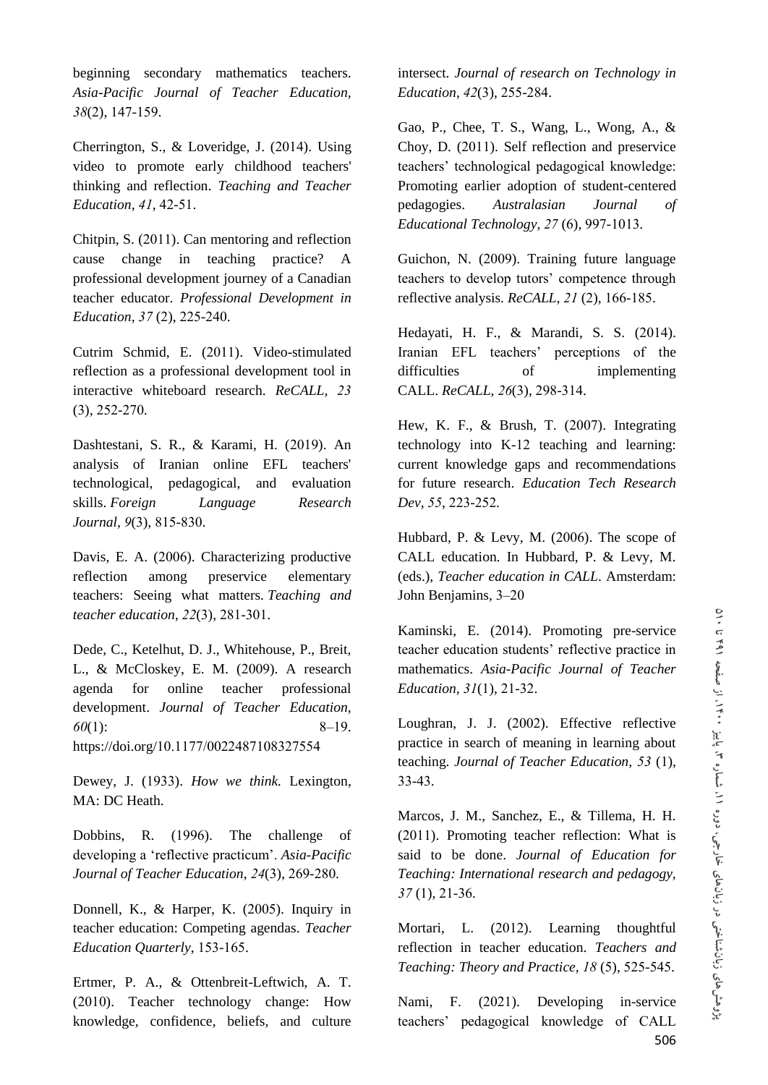beginning secondary mathematics teachers. *Asia-Pacific Journal of Teacher Education, 38*(2), 147-159.

Cherrington, S., & Loveridge, J. (2014). Using video to promote early childhood teachers' thinking and reflection. *Teaching and Teacher Education, 41*, 42-51.

Chitpin, S. (2011). Can mentoring and reflection cause change in teaching practice? A professional development journey of a Canadian teacher educator. *Professional Development in Education, 37* (2), 225-240.

Cutrim Schmid, E. (2011). Video-stimulated reflection as a professional development tool in interactive whiteboard research. *ReCALL, 23* (3)*,* 252-270.

Dashtestani, S. R., & Karami, H. (2019). An analysis of Iranian online EFL teachers' technological, pedagogical, and evaluation skills. *Foreign Language Research Journal*, *9*(3), 815-830.

Davis, E. A. (2006). Characterizing productive reflection among preservice elementary teachers: Seeing what matters. *Teaching and teacher education*, *22*(3), 281-301.

Dede, C., Ketelhut, D. J., Whitehouse, P., Breit, L., & McCloskey, E. M. (2009). A research agenda for online teacher professional development. *Journal of Teacher Education, 60*(1): 8–19. https://doi.org/10.1177/0022487108327554

Dewey, J. (1933). *How we think.* Lexington, MA: DC Heath

Dobbins, R. (1996). The challenge of developing a 'reflective practicum'. *Asia-Pacific Journal of Teacher Education*, *24*(3), 269-280.

Donnell, K., & Harper, K. (2005). Inquiry in teacher education: Competing agendas. *Teacher Education Quarterly*, 153-165.

Ertmer, P. A., & Ottenbreit-Leftwich, A. T. (2010). Teacher technology change: How knowledge, confidence, beliefs, and culture intersect. *Journal of research on Technology in Education*, *42*(3), 255-284.

Gao, P., Chee, T. S., Wang, L., Wong, A., & Choy, D. (2011). Self reflection and preservice teachers' technological pedagogical knowledge: Promoting earlier adoption of student-centered pedagogies. *Australasian Journal of Educational Technology, 27* (6)*,* 997-1013.

Guichon, N. (2009). Training future language teachers to develop tutors' competence through reflective analysis. *ReCALL, 21* (2)*,* 166-185.

Hedayati, H. F., & Marandi, S. S. (2014). Iranian EFL teachers' perceptions of the difficulties of implementing CALL. *ReCALL*, *26*(3), 298-314.

Hew, K. F., & Brush, T. (2007). Integrating technology into K-12 teaching and learning: current knowledge gaps and recommendations for future research. *Education Tech Research Dev, 55*, 223-252.

Hubbard, P. & Levy, M. (2006). The scope of CALL education. In Hubbard, P. & Levy, M. (eds.), *Teacher education in CALL*. Amsterdam: John Benjamins, 3–20

Kaminski, E. (2014). Promoting pre-service teacher education students' reflective practice in mathematics. *Asia-Pacific Journal of Teacher Education, 31*(1), 21-32.

Loughran, J. J. (2002). Effective reflective practice in search of meaning in learning about teaching. *Journal of Teacher Education, 53* (1), 33-43.

Marcos, J. M., Sanchez, E., & Tillema, H. H. (2011). Promoting teacher reflection: What is said to be done. *Journal of Education for Teaching: International research and pedagogy, 37* (1), 21-36.

Mortari, L. (2012). Learning thoughtful reflection in teacher education. *Teachers and Teaching: Theory and Practice, 18* (5), 525-545.

Nami, F. (2021). Developing in-service teachers' pedagogical knowledge of CALL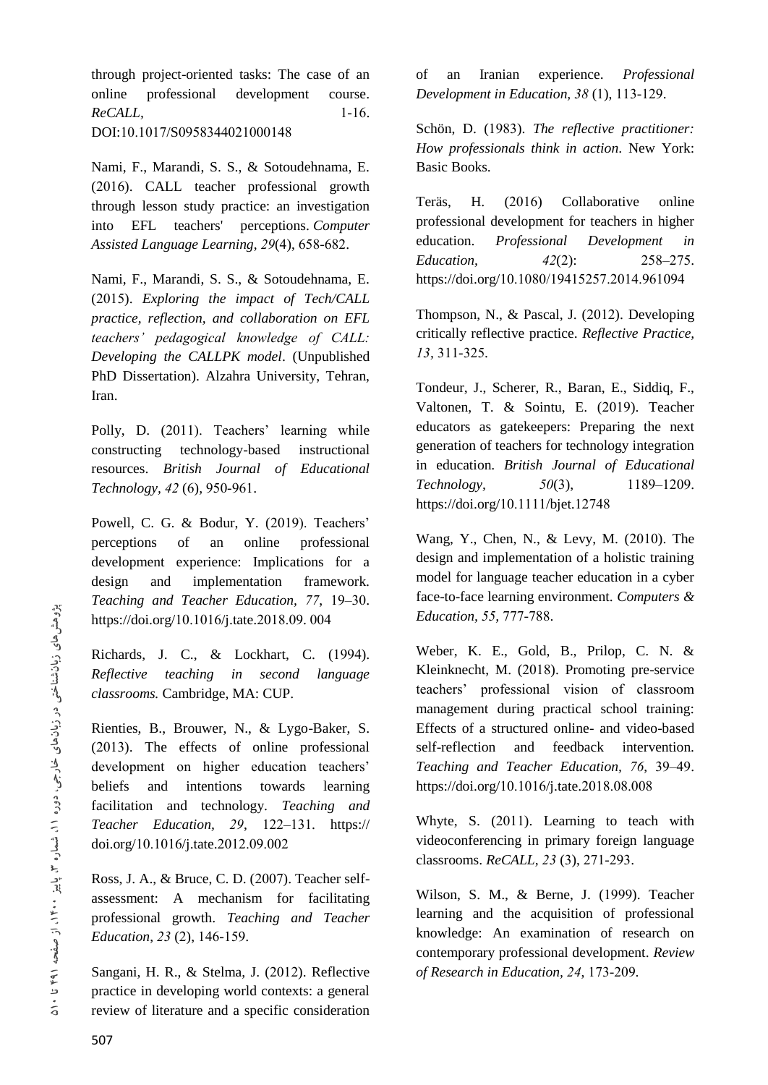through project-oriented tasks: The case of an online professional development course. *ReCALL,* 1-16. DOI:10.1017/S0958344021000148

Nami, F., Marandi, S. S., & Sotoudehnama, E. (2016). CALL teacher professional growth through lesson study practice: an investigation into EFL teachers' perceptions. *Computer Assisted Language Learning*, *29*(4), 658-682.

Nami, F., Marandi, S. S., & Sotoudehnama, E. (2015). *Exploring the impact of Tech/CALL practice, reflection, and collaboration on EFL teachers' pedagogical knowledge of CALL: Developing the CALLPK model*. (Unpublished PhD Dissertation). Alzahra University, Tehran, Iran.

Polly, D. (2011). Teachers' learning while constructing technology-based instructional resources. *British Journal of Educational Technology, 42* (6)*,* 950-961.

Powell, C. G. & Bodur, Y. (2019). Teachers' perceptions of an online professional development experience: Implications for a design and implementation framework. *Teaching and Teacher Education, 77*, 19–30. https://doi.org/10.1016/j.tate.2018.09. 004

Richards, J. C., & Lockhart, C. (1994). *Reflective teaching in second language classrooms.* Cambridge, MA: CUP.

Rienties, B., Brouwer, N., & Lygo-Baker, S. (2013). The effects of online professional development on higher education teachers' beliefs and intentions towards learning facilitation and technology. *Teaching and Teacher Education, 29*, 122–131. https:// doi.org/10.1016/j.tate.2012.09.002

Ross, J. A., & Bruce, C. D. (2007). Teacher selfassessment: A mechanism for facilitating professional growth. *Teaching and Teacher Education*, *23* (2), 146-159.

Sangani, H. R., & Stelma, J. (2012). Reflective practice in developing world contexts: a general review of literature and a specific consideration

of an Iranian experience. *Professional Development in Education, 38* (1), 113-129.

Schön, D. (1983). *The reflective practitioner: How professionals think in action*. New York: Basic Books.

Teräs, H. (2016) Collaborative online professional development for teachers in higher education. *Professional Development in Education, 42*(2): 258–275. https://doi.org/10.1080/19415257.2014.961094

Thompson, N., & Pascal, J. (2012). Developing critically reflective practice. *Reflective Practice, 13,* 311-325.

Tondeur, J., Scherer, R., Baran, E., Siddiq, F., Valtonen, T. & Sointu, E. (2019). Teacher educators as gatekeepers: Preparing the next generation of teachers for technology integration in education. *British Journal of Educational Technology, 50*(3), 1189–1209. https://doi.org/10.1111/bjet.12748

Wang, Y., Chen, N., & Levy, M. (2010). The design and implementation of a holistic training model for language teacher education in a cyber face-to-face learning environment. *Computers & Education, 55,* 777-788.

Weber, K. E., Gold, B., Prilop, C. N. & Kleinknecht, M. (2018). Promoting pre-service teachers' professional vision of classroom management during practical school training: Effects of a structured online- and video-based self-reflection and feedback intervention. *Teaching and Teacher Education, 76*, 39–49. https://doi.org/10.1016/j.tate.2018.08.008

Whyte, S. (2011). Learning to teach with videoconferencing in primary foreign language classrooms. *ReCALL, 23* (3), 271-293.

Wilson, S. M., & Berne, J. (1999). Teacher learning and the acquisition of professional knowledge: An examination of research on contemporary professional development. *Review of Research in Education, 24*, 173-209.